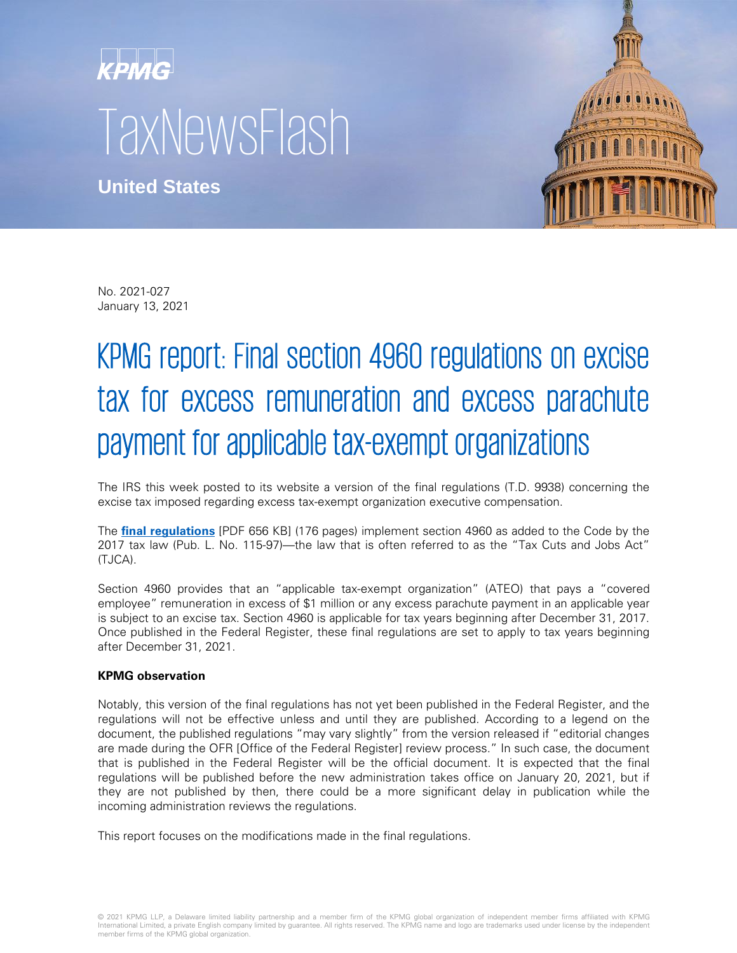# **KPMG TaxNewsFlash**

**United States**



No. 2021-027 January 13, 2021

# KPMG report: Final section 4960 regulations on excise tax for excess remuneration and excess parachute payment for applicable tax-exempt organizations

The IRS this week posted to its website a version of the final regulations (T.D. 9938) concerning the excise tax imposed regarding excess tax-exempt organization executive compensation.

The **[final regulations](https://www.irs.gov/pub/irs-drop/td-9938.pdf)** [PDF 656 KB] (176 pages) implement section 4960 as added to the Code by the 2017 tax law (Pub. L. No. 115-97)—the law that is often referred to as the "Tax Cuts and Jobs Act" (TJCA).

Section 4960 provides that an "applicable tax-exempt organization" (ATEO) that pays a "covered employee" remuneration in excess of \$1 million or any excess parachute payment in an applicable year is subject to an excise tax. Section 4960 is applicable for tax years beginning after December 31, 2017. Once published in the Federal Register, these final regulations are set to apply to tax years beginning after December 31, 2021.

## **KPMG observation**

Notably, this version of the final regulations has not yet been published in the Federal Register, and the regulations will not be effective unless and until they are published. According to a legend on the document, the published regulations "may vary slightly" from the version released if "editorial changes are made during the OFR [Office of the Federal Register] review process." In such case, the document that is published in the Federal Register will be the official document. It is expected that the final regulations will be published before the new administration takes office on January 20, 2021, but if they are not published by then, there could be a more significant delay in publication while the incoming administration reviews the regulations.

This report focuses on the modifications made in the final regulations.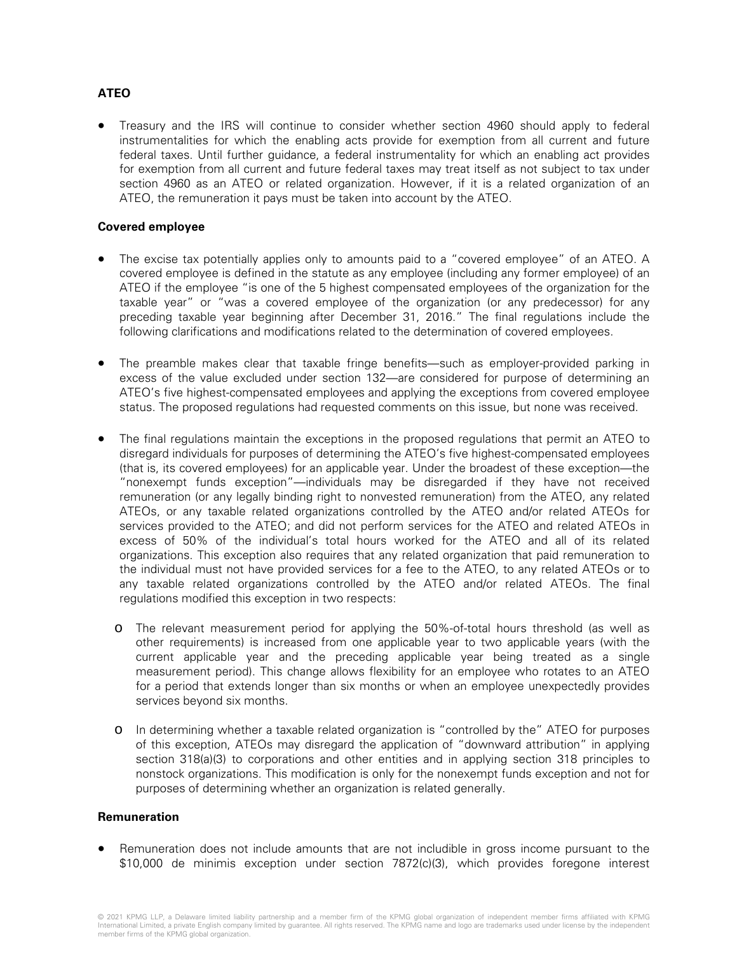# **ATEO**

• Treasury and the IRS will continue to consider whether section 4960 should apply to federal instrumentalities for which the enabling acts provide for exemption from all current and future federal taxes. Until further guidance, a federal instrumentality for which an enabling act provides for exemption from all current and future federal taxes may treat itself as not subject to tax under section 4960 as an ATEO or related organization. However, if it is a related organization of an ATEO, the remuneration it pays must be taken into account by the ATEO.

### **Covered employee**

- The excise tax potentially applies only to amounts paid to a "covered employee" of an ATEO. A covered employee is defined in the statute as any employee (including any former employee) of an ATEO if the employee "is one of the 5 highest compensated employees of the organization for the taxable year" or "was a covered employee of the organization (or any predecessor) for any preceding taxable year beginning after December 31, 2016." The final regulations include the following clarifications and modifications related to the determination of covered employees.
- The preamble makes clear that taxable fringe benefits—such as employer-provided parking in excess of the value excluded under section 132—are considered for purpose of determining an ATEO's five highest-compensated employees and applying the exceptions from covered employee status. The proposed regulations had requested comments on this issue, but none was received.
- The final regulations maintain the exceptions in the proposed regulations that permit an ATEO to disregard individuals for purposes of determining the ATEO's five highest-compensated employees (that is, its covered employees) for an applicable year. Under the broadest of these exception—the "nonexempt funds exception"—individuals may be disregarded if they have not received remuneration (or any legally binding right to nonvested remuneration) from the ATEO, any related ATEOs, or any taxable related organizations controlled by the ATEO and/or related ATEOs for services provided to the ATEO; and did not perform services for the ATEO and related ATEOs in excess of 50% of the individual's total hours worked for the ATEO and all of its related organizations. This exception also requires that any related organization that paid remuneration to the individual must not have provided services for a fee to the ATEO, to any related ATEOs or to any taxable related organizations controlled by the ATEO and/or related ATEOs. The final regulations modified this exception in two respects:
	- o The relevant measurement period for applying the 50%-of-total hours threshold (as well as other requirements) is increased from one applicable year to two applicable years (with the current applicable year and the preceding applicable year being treated as a single measurement period). This change allows flexibility for an employee who rotates to an ATEO for a period that extends longer than six months or when an employee unexpectedly provides services beyond six months.
	- o In determining whether a taxable related organization is "controlled by the" ATEO for purposes of this exception, ATEOs may disregard the application of "downward attribution" in applying section 318(a)(3) to corporations and other entities and in applying section 318 principles to nonstock organizations. This modification is only for the nonexempt funds exception and not for purposes of determining whether an organization is related generally.

#### **Remuneration**

• Remuneration does not include amounts that are not includible in gross income pursuant to the \$10,000 de minimis exception under section 7872(c)(3), which provides foregone interest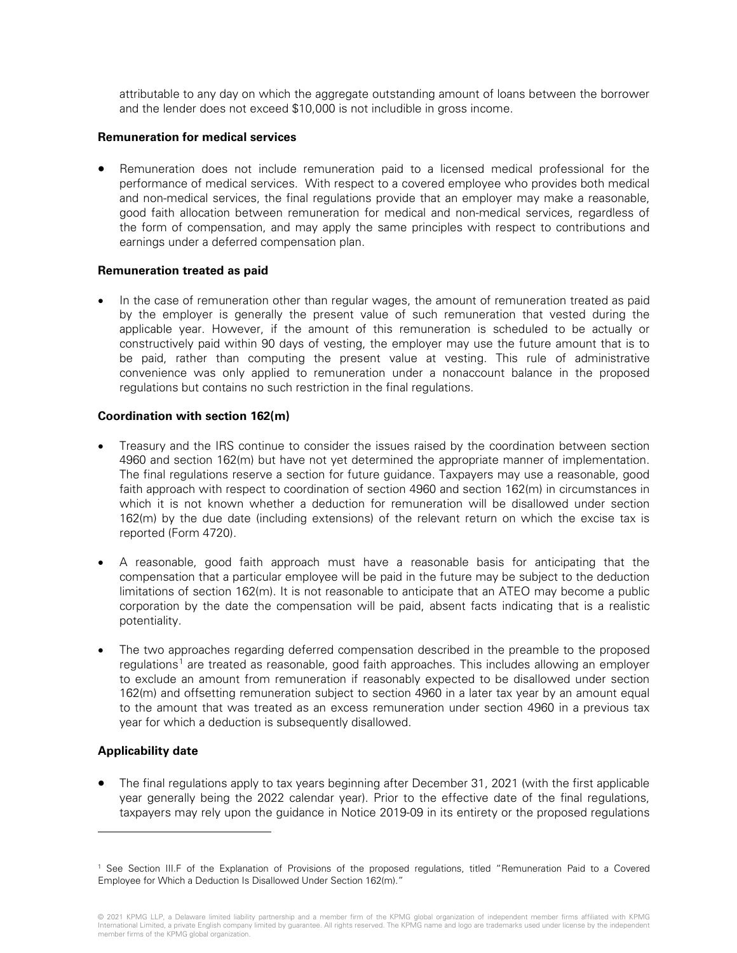attributable to any day on which the aggregate outstanding amount of loans between the borrower and the lender does not exceed \$10,000 is not includible in gross income.

#### **Remuneration for medical services**

• Remuneration does not include remuneration paid to a licensed medical professional for the performance of medical services. With respect to a covered employee who provides both medical and non-medical services, the final regulations provide that an employer may make a reasonable, good faith allocation between remuneration for medical and non-medical services, regardless of the form of compensation, and may apply the same principles with respect to contributions and earnings under a deferred compensation plan.

#### **Remuneration treated as paid**

• In the case of remuneration other than regular wages, the amount of remuneration treated as paid by the employer is generally the present value of such remuneration that vested during the applicable year. However, if the amount of this remuneration is scheduled to be actually or constructively paid within 90 days of vesting, the employer may use the future amount that is to be paid, rather than computing the present value at vesting. This rule of administrative convenience was only applied to remuneration under a nonaccount balance in the proposed regulations but contains no such restriction in the final regulations.

#### **Coordination with section 162(m)**

- Treasury and the IRS continue to consider the issues raised by the coordination between section 4960 and section 162(m) but have not yet determined the appropriate manner of implementation. The final regulations reserve a section for future guidance. Taxpayers may use a reasonable, good faith approach with respect to coordination of section 4960 and section 162(m) in circumstances in which it is not known whether a deduction for remuneration will be disallowed under section 162(m) by the due date (including extensions) of the relevant return on which the excise tax is reported (Form 4720).
- A reasonable, good faith approach must have a reasonable basis for anticipating that the compensation that a particular employee will be paid in the future may be subject to the deduction limitations of section 162(m). It is not reasonable to anticipate that an ATEO may become a public corporation by the date the compensation will be paid, absent facts indicating that is a realistic potentiality.
- The two approaches regarding deferred compensation described in the preamble to the proposed regulations<sup>[1](#page-2-0)</sup> are treated as reasonable, good faith approaches. This includes allowing an employer to exclude an amount from remuneration if reasonably expected to be disallowed under section 162(m) and offsetting remuneration subject to section 4960 in a later tax year by an amount equal to the amount that was treated as an excess remuneration under section 4960 in a previous tax year for which a deduction is subsequently disallowed.

#### **Applicability date**

-

• The final regulations apply to tax years beginning after December 31, 2021 (with the first applicable year generally being the 2022 calendar year). Prior to the effective date of the final regulations, taxpayers may rely upon the guidance in Notice 2019-09 in its entirety or the proposed regulations

© 2021 KPMG LLP, a Delaware limited liability partnership and a member firm of the KPMG global organization of independent member firms affiliated with KPMG<br>International Limited, a private English company limited by guara member firms of the KPMG global organization.

<span id="page-2-0"></span><sup>1</sup> See Section III.F of the Explanation of Provisions of the proposed regulations, titled "Remuneration Paid to a Covered Employee for Which a Deduction Is Disallowed Under Section 162(m)."